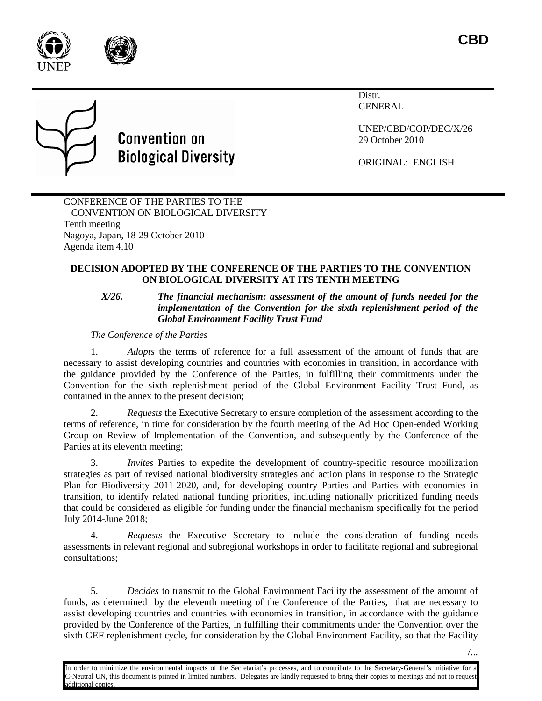



Distr. **GENERAL** 

UNEP/CBD/COP/DEC/X/26 29 October 2010

ORIGINAL: ENGLISH

CONFERENCE OF THE PARTIES TO THE CONVENTION ON BIOLOGICAL DIVERSITY Tenth meeting Nagoya, Japan, 18-29 October 2010 Agenda item 4.10

**Convention on** 

**Biological Diversity** 

# **DECISION ADOPTED BY THE CONFERENCE OF THE PARTIES TO THE CONVENTION ON BIOLOGICAL DIVERSITY AT ITS TENTH MEETING**

*X/26. The financial mechanism: assessment of the amount of funds needed for the implementation of the Convention for the sixth replenishment period of the Global Environment Facility Trust Fund*

*The Conference of the Parties*

1. *Adopts* the terms of reference for a full assessment of the amount of funds that are necessary to assist developing countries and countries with economies in transition, in accordance with the guidance provided by the Conference of the Parties, in fulfilling their commitments under the Convention for the sixth replenishment period of the Global Environment Facility Trust Fund, as contained in the annex to the present decision;

2. *Requests* the Executive Secretary to ensure completion of the assessment according to the terms of reference, in time for consideration by the fourth meeting of the Ad Hoc Open-ended Working Group on Review of Implementation of the Convention, and subsequently by the Conference of the Parties at its eleventh meeting;

*Invites* Parties to expedite the development of country-specific resource mobilization strategies as part of revised national biodiversity strategies and action plans in response to the Strategic Plan for Biodiversity 2011-2020, and, for developing country Parties and Parties with economies in transition, to identify related national funding priorities, including nationally prioritized funding needs that could be considered as eligible for funding under the financial mechanism specifically for the period July 2014-June 2018;

4. *Requests* the Executive Secretary to include the consideration of funding needs assessments in relevant regional and subregional workshops in order to facilitate regional and subregional consultations;

5. *Decides* to transmit to the Global Environment Facility the assessment of the amount of funds, as determined by the eleventh meeting of the Conference of the Parties, that are necessary to assist developing countries and countries with economies in transition, in accordance with the guidance provided by the Conference of the Parties, in fulfilling their commitments under the Convention over the sixth GEF replenishment cycle, for consideration by the Global Environment Facility, so that the Facility

In order to minimize the environmental impacts of the Secretariat's processes, and to contribute to the Secretary-General's initiative for a C-Neutral UN, this document is printed in limited numbers. Delegates are kindly requested to bring their copies to meetings and not to request dditional copie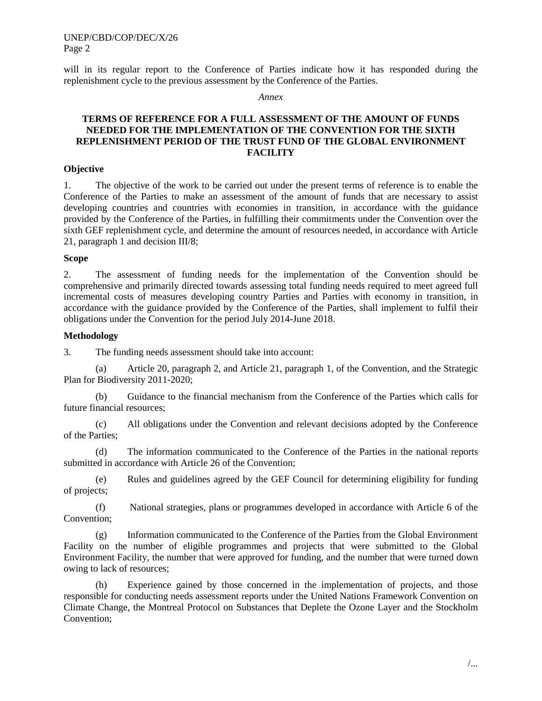UNEP/CBD/COP/DEC/X/26 Page 2

will in its regular report to the Conference of Parties indicate how it has responded during the replenishment cycle to the previous assessment by the Conference of the Parties.

*Annex* 

## **TERMS OF REFERENCE FOR A FULL ASSESSMENT OF THE AMOUNT OF FUNDS NEEDED FOR THE IMPLEMENTATION OF THE CONVENTION FOR THE SIXTH REPLENISHMENT PERIOD OF THE TRUST FUND OF THE GLOBAL ENVIRONMENT FACILITY**

#### **Objective**

1. The objective of the work to be carried out under the present terms of reference is to enable the Conference of the Parties to make an assessment of the amount of funds that are necessary to assist developing countries and countries with economies in transition, in accordance with the guidance provided by the Conference of the Parties, in fulfilling their commitments under the Convention over the sixth GEF replenishment cycle, and determine the amount of resources needed, in accordance with Article 21, paragraph 1 and decision III/8;

#### **Scope**

2. The assessment of funding needs for the implementation of the Convention should be comprehensive and primarily directed towards assessing total funding needs required to meet agreed full incremental costs of measures developing country Parties and Parties with economy in transition, in accordance with the guidance provided by the Conference of the Parties, shall implement to fulfil their obligations under the Convention for the period July 2014-June 2018.

#### **Methodology**

3. The funding needs assessment should take into account:

(a) Article 20, paragraph 2, and Article 21, paragraph 1, of the Convention, and the Strategic Plan for Biodiversity 2011-2020;

(b) Guidance to the financial mechanism from the Conference of the Parties which calls for future financial resources;

(c) All obligations under the Convention and relevant decisions adopted by the Conference of the Parties;

(d) The information communicated to the Conference of the Parties in the national reports submitted in accordance with Article 26 of the Convention;

(e) Rules and guidelines agreed by the GEF Council for determining eligibility for funding of projects;

(f) National strategies, plans or programmes developed in accordance with Article 6 of the Convention;

(g) Information communicated to the Conference of the Parties from the Global Environment Facility on the number of eligible programmes and projects that were submitted to the Global Environment Facility, the number that were approved for funding, and the number that were turned down owing to lack of resources;

(h) Experience gained by those concerned in the implementation of projects, and those responsible for conducting needs assessment reports under the United Nations Framework Convention on Climate Change, the Montreal Protocol on Substances that Deplete the Ozone Layer and the Stockholm Convention;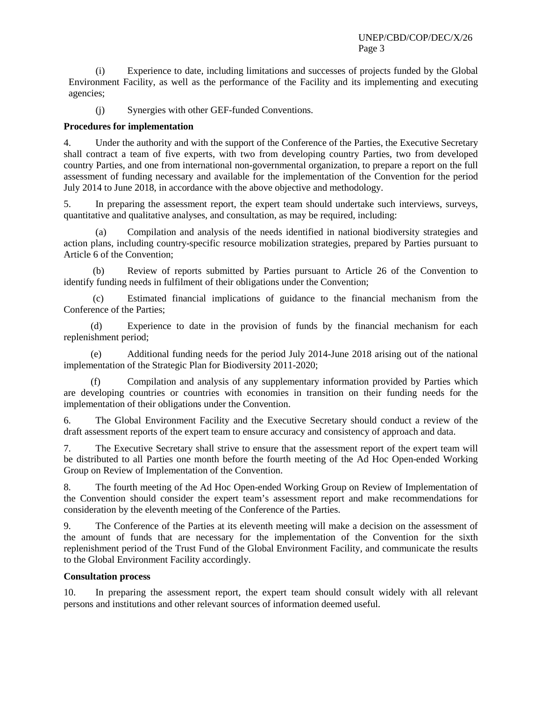(i) Experience to date, including limitations and successes of projects funded by the Global Environment Facility, as well as the performance of the Facility and its implementing and executing agencies;

(j) Synergies with other GEF-funded Conventions.

## **Procedures for implementation**

4. Under the authority and with the support of the Conference of the Parties, the Executive Secretary shall contract a team of five experts, with two from developing country Parties, two from developed country Parties, and one from international non-governmental organization, to prepare a report on the full assessment of funding necessary and available for the implementation of the Convention for the period July 2014 to June 2018, in accordance with the above objective and methodology.

5. In preparing the assessment report, the expert team should undertake such interviews, surveys, quantitative and qualitative analyses, and consultation, as may be required, including:

(a) Compilation and analysis of the needs identified in national biodiversity strategies and action plans, including country-specific resource mobilization strategies, prepared by Parties pursuant to Article 6 of the Convention;

(b) Review of reports submitted by Parties pursuant to Article 26 of the Convention to identify funding needs in fulfilment of their obligations under the Convention;

(c) Estimated financial implications of guidance to the financial mechanism from the Conference of the Parties;

(d) Experience to date in the provision of funds by the financial mechanism for each replenishment period;

(e) Additional funding needs for the period July 2014-June 2018 arising out of the national implementation of the Strategic Plan for Biodiversity 2011-2020;

(f) Compilation and analysis of any supplementary information provided by Parties which are developing countries or countries with economies in transition on their funding needs for the implementation of their obligations under the Convention.

6. The Global Environment Facility and the Executive Secretary should conduct a review of the draft assessment reports of the expert team to ensure accuracy and consistency of approach and data.

7. The Executive Secretary shall strive to ensure that the assessment report of the expert team will be distributed to all Parties one month before the fourth meeting of the Ad Hoc Open-ended Working Group on Review of Implementation of the Convention.

8. The fourth meeting of the Ad Hoc Open-ended Working Group on Review of Implementation of the Convention should consider the expert team's assessment report and make recommendations for consideration by the eleventh meeting of the Conference of the Parties.

9. The Conference of the Parties at its eleventh meeting will make a decision on the assessment of the amount of funds that are necessary for the implementation of the Convention for the sixth replenishment period of the Trust Fund of the Global Environment Facility, and communicate the results to the Global Environment Facility accordingly.

### **Consultation process**

10. In preparing the assessment report, the expert team should consult widely with all relevant persons and institutions and other relevant sources of information deemed useful.